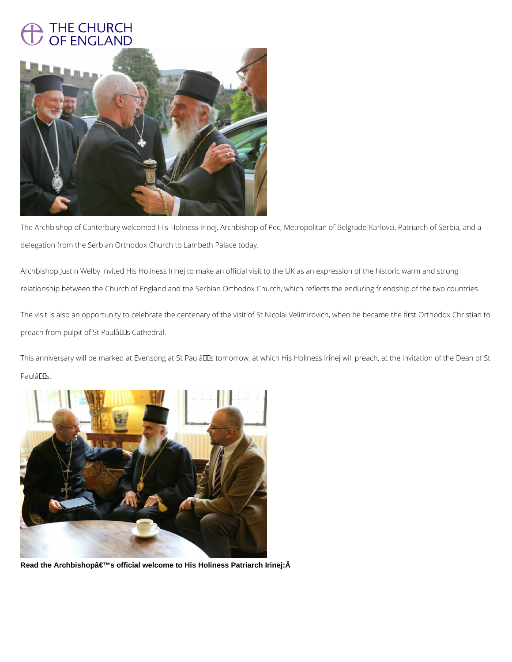## THE CHURCH OF ENGLAND



The Archbishop of Canterbury welcomed His Holiness Irinej, Archbishop of Pec, Metropolitan of Belgrade-Karlovci, Patriarch of Serbia, and a delegation from the Serbian Orthodox Church to Lambeth Palace today.

The visit is also an opportunity to celebrate the centenary of the visit of St Nicolai Velimirovich, when he became the first Orthodox Christian to preach from pulpit of St Paulâlls Cathedral.

This anniversary will be marked at Evensong at St PaulâDDs tomorrow, at which His Holiness Irinej will preach, at the invitation of the Dean of St PaulâDDs.



Read the Archbishopâ€<sup>™</sup>s official welcome to His Holiness Patriarch Irinej:Â

Archbishop Justin Welby invited His Holiness Irinej to make an official visit to the UK as an expression of the historic warm and strong relationship between the Church of England and the Serbian Orthodox Church, which reflects the enduring friendship of the two countries.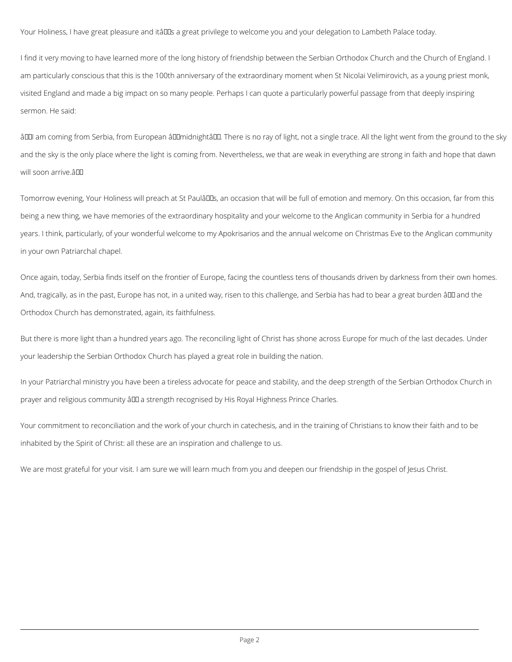Your Holiness, I have great pleasure and itâlles a great privilege to welcome you and your delegation to Lambeth Palace today.

I find it very moving to have learned more of the long history of friendship between the Serbian Orthodox Church and the Church of England. I am particularly conscious that this is the 100th anniversary of the extraordinary moment when St Nicolai Velimirovich, as a young priest monk, visited England and made a big impact on so many people. Perhaps I can quote a particularly powerful passage from that deeply inspiring sermon. He said:

âIII am coming from Serbia, from European âIIImidnightâIII. There is no ray of light, not a single trace. All the light went from the ground to the sky and the sky is the only place where the light is coming from. Nevertheless, we that are weak in everything are strong in faith and hope that dawn will soon arrive.  $\hat{a}$ 

Tomorrow evening, Your Holiness will preach at St PaulâDDs, an occasion that will be full of emotion and memory. On this occasion, far from this being a new thing, we have memories of the extraordinary hospitality and your welcome to the Anglican community in Serbia for a hundred years. I think, particularly, of your wonderful welcome to my Apokrisarios and the annual welcome on Christmas Eve to the Anglican community in your own Patriarchal chapel.

In your Patriarchal ministry you have been a tireless advocate for peace and stability, and the deep strength of the Serbian Orthodox Church in prayer and religious community  $\frac{2}{\pi}$  a strength recognised by His Royal Highness Prince Charles.

Once again, today, Serbia finds itself on the frontier of Europe, facing the countless tens of thousands driven by darkness from their own homes. And, tragically, as in the past, Europe has not, in a united way, risen to this challenge, and Serbia has had to bear a great burden â DD and the Orthodox Church has demonstrated, again, its faithfulness.

But there is more light than a hundred years ago. The reconciling light of Christ has shone across Europe for much of the last decades. Under your leadership the Serbian Orthodox Church has played a great role in building the nation.

Your commitment to reconciliation and the work of your church in catechesis, and in the training of Christians to know their faith and to be inhabited by the Spirit of Christ: all these are an inspiration and challenge to us.

We are most grateful for your visit. I am sure we will learn much from you and deepen our friendship in the gospel of Jesus Christ.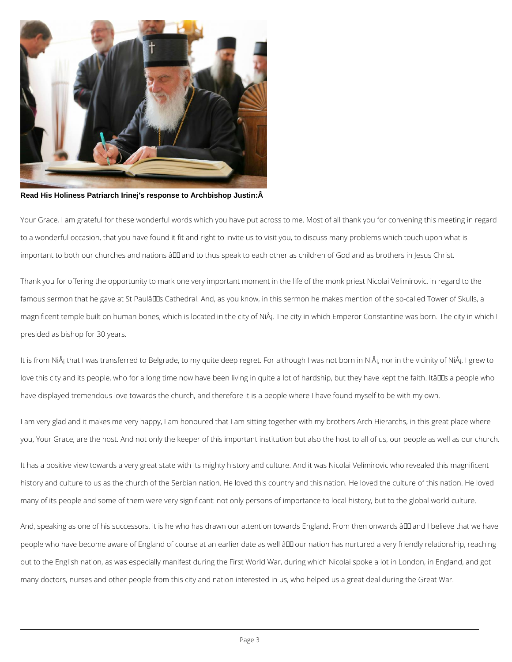

**Read His Holiness Patriarch Irinej's response to Archbishop Justin:Â** 

Your Grace, I am grateful for these wonderful words which you have put across to me. Most of all thank you for convening this meeting in regard to a wonderful occasion, that you have found it fit and right to invite us to visit you, to discuss many problems which touch upon what is important to both our churches and nations ând and to thus speak to each other as children of God and as brothers in Jesus Christ.

It is from NiÅ<sub>i</sub> that I was transferred to Belgrade, to my quite deep regret. For although I was not born in NiÅ<sub>i</sub>, nor in the vicinity of NiÅ<sub>i</sub>, I grew to love this city and its people, who for a long time now have been living in quite a lot of hardship, but they have kept the faith. Itâll Is a people who have displayed tremendous love towards the church, and therefore it is a people where I have found myself to be with my own.

Thank you for offering the opportunity to mark one very important moment in the life of the monk priest Nicolai Velimirovic, in regard to the famous sermon that he gave at St PaulâDDs Cathedral. And, as you know, in this sermon he makes mention of the so-called Tower of Skulls, a magnificent temple built on human bones, which is located in the city of NiÅ<sub>i</sub>. The city in which Emperor Constantine was born. The city in which I presided as bishop for 30 years.

I am very glad and it makes me very happy, I am honoured that I am sitting together with my brothers Arch Hierarchs, in this great place where you, Your Grace, are the host. And not only the keeper of this important institution but also the host to all of us, our people as well as our church.

It has a positive view towards a very great state with its mighty history and culture. And it was Nicolai Velimirovic who revealed this magnificent history and culture to us as the church of the Serbian nation. He loved this country and this nation. He loved the culture of this nation. He loved

many of its people and some of them were very significant: not only persons of importance to local history, but to the global world culture.

And, speaking as one of his successors, it is he who has drawn our attention towards England. From then onwards â00 and I believe that we have

people who have become aware of England of course at an earlier date as well â00 our nation has nurtured a very friendly relationship, reaching

out to the English nation, as was especially manifest during the First World War, during which Nicolai spoke a lot in London, in England, and got

many doctors, nurses and other people from this city and nation interested in us, who helped us a great deal during the Great War.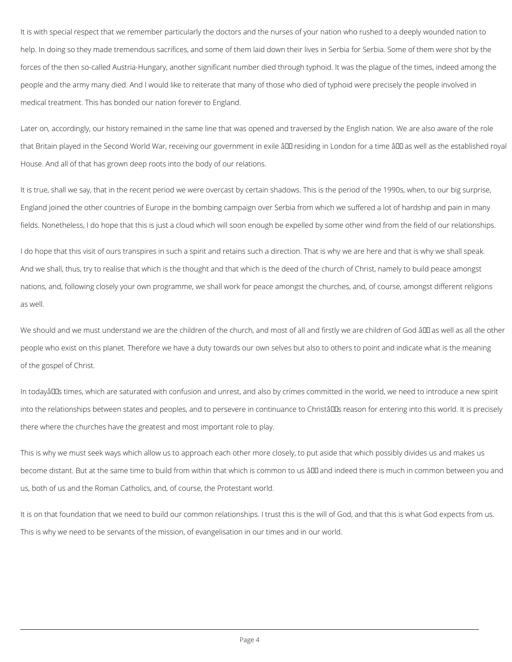It is with special respect that we remember particularly the doctors and the nurses of your nation who rushed to a deeply wounded nation to help. In doing so they made tremendous sacrifices, and some of them laid down their lives in Serbia for Serbia. Some of them were shot by the forces of the then so-called Austria-Hungary, another significant number died through typhoid. It was the plague of the times, indeed among the people and the army many died. And I would like to reiterate that many of those who died of typhoid were precisely the people involved in medical treatment. This has bonded our nation forever to England.

Later on, accordingly, our history remained in the same line that was opened and traversed by the English nation. We are also aware of the role that Britain played in the Second World War, receiving our government in exile â <del>DD</del> residing in London for a time â DD as well as the established royal House. And all of that has grown deep roots into the body of our relations.

We should and we must understand we are the children of the church, and most of all and firstly we are children of God â ll as well as all the other people who exist on this planet. Therefore we have a duty towards our own selves but also to others to point and indicate what is the meaning of the gospel of Christ.

It is true, shall we say, that in the recent period we were overcast by certain shadows. This is the period of the 1990s, when, to our big surprise, England joined the other countries of Europe in the bombing campaign over Serbia from which we suffered a lot of hardship and pain in many fields. Nonetheless, I do hope that this is just a cloud which will soon enough be expelled by some other wind from the field of our relationships.

In todayâDDs times, which are saturated with confusion and unrest, and also by crimes committed in the world, we need to introduce a new spirit into the relationships between states and peoples, and to persevere in continuance to Christâll as reason for entering into this world. It is precisely there where the churches have the greatest and most important role to play.

I do hope that this visit of ours transpires in such a spirit and retains such a direction. That is why we are here and that is why we shall speak. And we shall, thus, try to realise that which is the thought and that which is the deed of the church of Christ, namely to build peace amongst nations, and, following closely your own programme, we shall work for peace amongst the churches, and, of course, amongst different religions as well.

This is why we must seek ways which allow us to approach each other more closely, to put aside that which possibly divides us and makes us become distant. But at the same time to build from within that which is common to us âlla and indeed there is much in common between you and us, both of us and the Roman Catholics, and, of course, the Protestant world.

It is on that foundation that we need to build our common relationships. I trust this is the will of God, and that this is what God expects from us.

This is why we need to be servants of the mission, of evangelisation in our times and in our world.